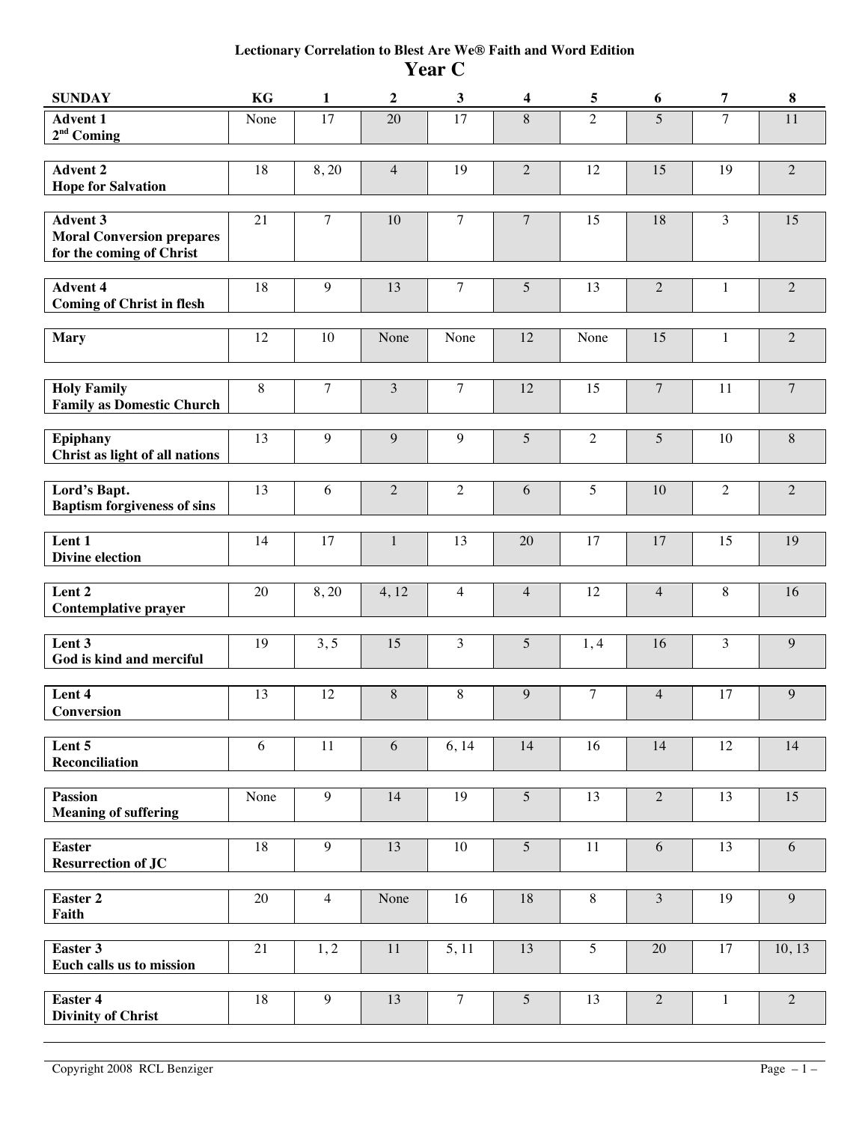## **Lectionary Correlation to Blest Are We® Faith and Word Edition Year C**

| <b>SUNDAY</b>                                                                   | KG      | $\mathbf{1}$   | $\boldsymbol{2}$ | $\mathbf{3}$   | 4               | $\sqrt{5}$     | 6                | $\overline{7}$ | 8              |
|---------------------------------------------------------------------------------|---------|----------------|------------------|----------------|-----------------|----------------|------------------|----------------|----------------|
| <b>Advent 1</b><br>$2nd$ Coming                                                 | None    | 17             | 20               | 17             | $\,8\,$         | $\overline{2}$ | 5                | $\overline{7}$ | 11             |
| <b>Advent 2</b><br><b>Hope for Salvation</b>                                    | 18      | 8,20           | $\overline{4}$   | 19             | $\overline{2}$  | 12             | 15               | 19             | $\sqrt{2}$     |
| <b>Advent 3</b><br><b>Moral Conversion prepares</b><br>for the coming of Christ | 21      | $\overline{7}$ | 10               | $\overline{7}$ | $\overline{7}$  | 15             | 18               | $\overline{3}$ | 15             |
| <b>Advent 4</b><br><b>Coming of Christ in flesh</b>                             | 18      | 9              | 13               | $\tau$         | 5               | 13             | $\overline{2}$   | 1              | $\overline{2}$ |
| <b>Mary</b>                                                                     | 12      | 10             | None             | None           | 12              | None           | 15               | 1              | $\overline{2}$ |
| <b>Holy Family</b><br><b>Family as Domestic Church</b>                          | $\,8\,$ | $\overline{7}$ | $\mathfrak{Z}$   | $\overline{7}$ | 12              | 15             | $\boldsymbol{7}$ | 11             | $\overline{7}$ |
| <b>Epiphany</b><br>Christ as light of all nations                               | 13      | 9              | 9                | 9              | 5               | $\overline{2}$ | 5                | 10             | $8\,$          |
| Lord's Bapt.<br><b>Baptism forgiveness of sins</b>                              | 13      | 6              | $\overline{2}$   | $\overline{2}$ | 6               | 5              | $10\,$           | $\overline{2}$ | $\overline{2}$ |
| Lent 1<br><b>Divine election</b>                                                | 14      | 17             | $\mathbf{1}$     | 13             | 20              | 17             | 17               | 15             | 19             |
| Lent 2<br><b>Contemplative prayer</b>                                           | 20      | 8,20           | 4,12             | $\overline{4}$ | $\overline{4}$  | 12             | $\overline{4}$   | 8              | 16             |
| Lent 3<br>God is kind and merciful                                              | 19      | 3, 5           | 15               | $\mathfrak{Z}$ | 5               | 1,4            | 16               | 3              | $\overline{9}$ |
| Lent 4<br>Conversion                                                            | 13      | 12             | $\, 8$           | $\,8\,$        | 9               | 7              | $\overline{4}$   | 17             | $\overline{9}$ |
| Lent 5<br><b>Reconciliation</b>                                                 | 6       | 11             | 6                | 6,14           | 14              | 16             | 14               | 12             | 14             |
| <b>Passion</b><br><b>Meaning of suffering</b>                                   | None    | 9              | 14               | 19             | $5\overline{)}$ | 13             | $\overline{2}$   | 13             | 15             |
| <b>Easter</b><br><b>Resurrection of JC</b>                                      | 18      | 9              | 13               | 10             | 5               | 11             | 6                | 13             | 6              |
| <b>Easter 2</b><br>Faith                                                        | 20      | $\overline{4}$ | None             | 16             | 18              | 8              | 3                | 19             | $\overline{9}$ |
| Easter 3<br>Euch calls us to mission                                            | 21      | 1, 2           | 11               | 5, 11          | 13              | 5              | 20               | 17             | 10, 13         |
| <b>Easter 4</b><br><b>Divinity of Christ</b>                                    | 18      | 9              | 13               | $\overline{7}$ | $\overline{5}$  | 13             | 2                | $\mathbf{1}$   | $\overline{2}$ |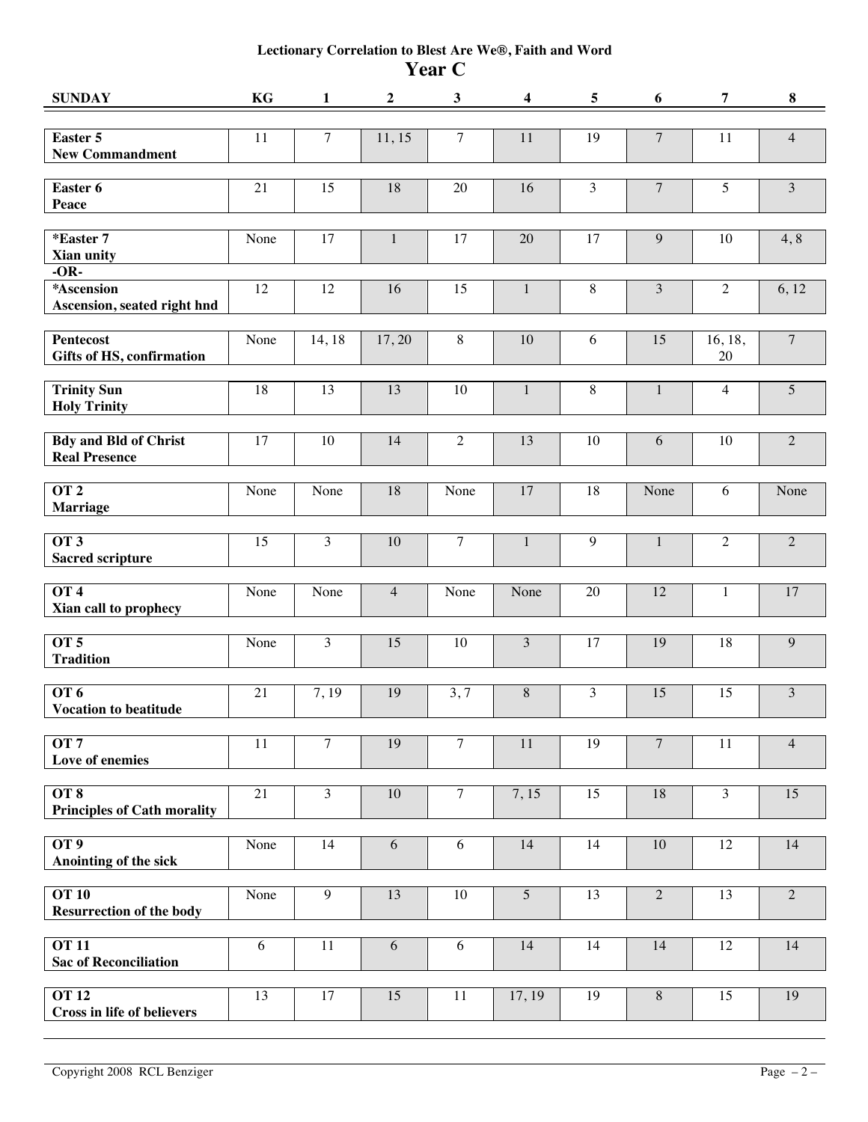## **Lectionary Correlation to Blest Are We®, Faith and Word Year C**

| <b>SUNDAY</b>                                          | KG   | $\mathbf{1}$   | $\boldsymbol{2}$ | $\mathbf{3}$   | 4               | 5            | 6                | 7              | $\bf8$         |
|--------------------------------------------------------|------|----------------|------------------|----------------|-----------------|--------------|------------------|----------------|----------------|
| Easter 5<br><b>New Commandment</b>                     | 11   | $\overline{7}$ | 11, 15           | $\overline{7}$ | $11\,$          | 19           | $\boldsymbol{7}$ | 11             | $\overline{4}$ |
| Easter 6<br>Peace                                      | 21   | 15             | 18               | 20             | 16              | 3            | $\overline{7}$   | $\overline{5}$ | 3              |
| *Easter 7<br>Xian unity                                | None | 17             | $\mathbf{1}$     | 17             | 20              | 17           | 9                | 10             | 4, 8           |
| $-OR-$<br>*Ascension<br>Ascension, seated right hnd    | 12   | 12             | 16               | 15             | $\mathbf{1}$    | $\,8\,$      | $\mathfrak{Z}$   | $\overline{2}$ | 6, 12          |
| <b>Pentecost</b><br>Gifts of HS, confirmation          | None | 14, 18         | 17,20            | $\,8\,$        | 10              | 6            | 15               | 16, 18,<br>20  | $\overline{7}$ |
| <b>Trinity Sun</b><br><b>Holy Trinity</b>              | 18   | 13             | 13               | 10             | $\mathbf{1}$    | 8            | $\mathbf{1}$     | $\overline{4}$ | 5              |
| <b>Bdy and Bld of Christ</b><br><b>Real Presence</b>   | 17   | 10             | 14               | $\overline{2}$ | 13              | 10           | 6                | 10             | $\sqrt{2}$     |
| $\overline{OT2}$<br><b>Marriage</b>                    | None | None           | 18               | None           | 17              | 18           | None             | 6              | None           |
| OT <sub>3</sub><br><b>Sacred scripture</b>             | 15   | 3              | $10\,$           | $\tau$         | $\mathbf{1}$    | $\mathbf{9}$ | $\mathbf{1}$     | $\overline{2}$ | $\overline{2}$ |
| OT <sub>4</sub><br>Xian call to prophecy               | None | None           | $\overline{4}$   | None           | None            | 20           | 12               | 1              | 17             |
| OT <sub>5</sub><br><b>Tradition</b>                    | None | 3              | 15               | 10             | 3               | 17           | 19               | 18             | 9              |
| <b>OT 6</b><br><b>Vocation to beatitude</b>            | 21   | 7,19           | 19               | 3, 7           | $8\,$           | 3            | 15               | 15             | 3              |
| OT7<br>Love of enemies                                 | 11   | $\overline{7}$ | 19               | $\overline{7}$ | 11              | 19           | $\overline{7}$   | 11             | $\overline{4}$ |
| $\overline{OT8}$<br><b>Principles of Cath morality</b> | 21   | 3              | $10\,$           | $\overline{7}$ | 7,15            | 15           | 18               | $\overline{3}$ | 15             |
| OT <sub>9</sub><br>Anointing of the sick               | None | 14             | 6                | 6              | 14              | 14           | 10               | 12             | 14             |
| <b>OT 10</b><br><b>Resurrection of the body</b>        | None | 9              | 13               | 10             | $5\overline{)}$ | 13           | $\overline{2}$   | 13             | $\overline{2}$ |
| <b>OT 11</b><br><b>Sac of Reconciliation</b>           | 6    | 11             | 6                | 6              | 14              | 14           | 14               | 12             | 14             |
| <b>OT 12</b><br><b>Cross in life of believers</b>      | 13   | 17             | 15               | 11             | 17, 19          | 19           | $\,8\,$          | 15             | 19             |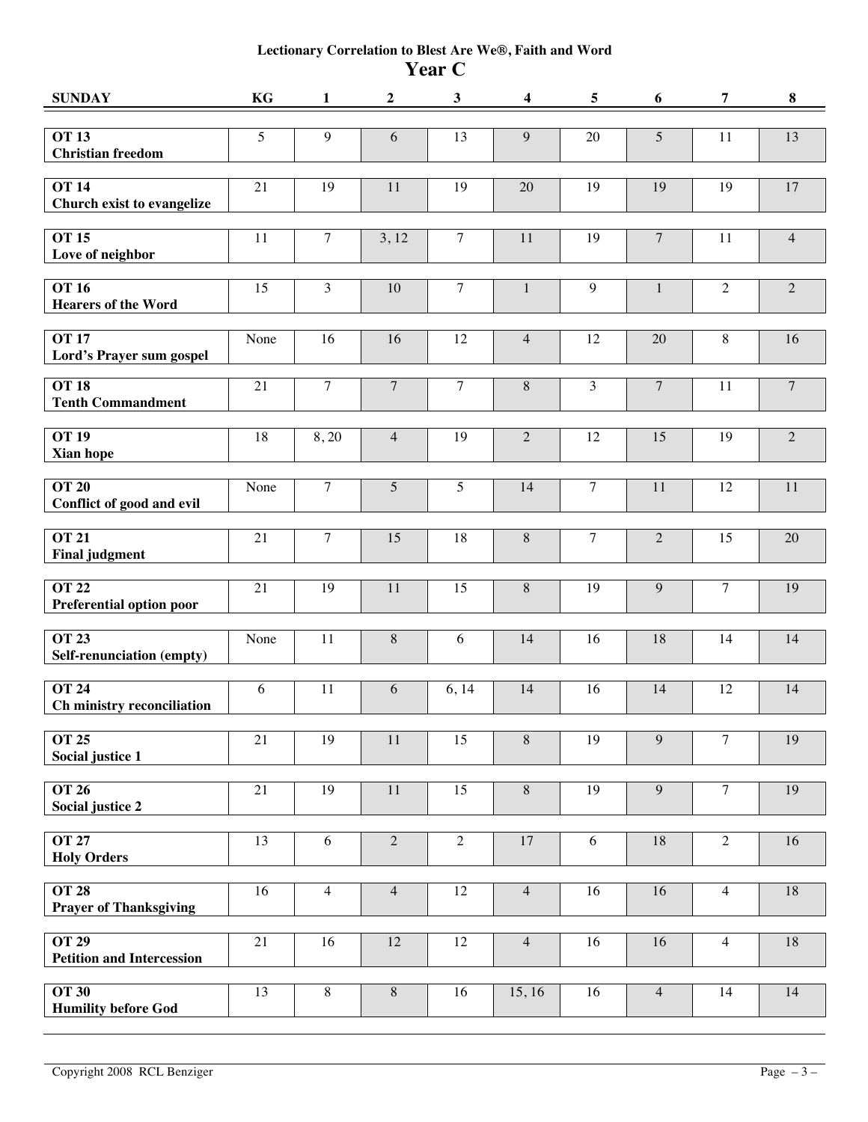## **Lectionary Correlation to Blest Are We®, Faith and Word Year C**

| <b>SUNDAY</b>                                          | KG              | 1                | $\boldsymbol{2}$ | $\mathbf{3}$    | 4              | $\overline{5}$ | 6              | 7              | 8              |
|--------------------------------------------------------|-----------------|------------------|------------------|-----------------|----------------|----------------|----------------|----------------|----------------|
| <b>OT 13</b><br><b>Christian freedom</b>               | 5               | $\boldsymbol{9}$ | 6                | 13              | $\overline{9}$ | 20             | $\sqrt{5}$     | 11             | 13             |
| <b>OT 14</b><br>Church exist to evangelize             | 21              | 19               | 11               | 19              | 20             | 19             | 19             | 19             | $17\,$         |
| <b>OT 15</b><br>Love of neighbor                       | 11              | $\overline{7}$   | 3, 12            | $\overline{7}$  | 11             | 19             | $\overline{7}$ | 11             | $\overline{4}$ |
| <b>OT 16</b><br><b>Hearers of the Word</b>             | 15              | 3                | $10\,$           | $\overline{7}$  | $\mathbf{1}$   | $\overline{9}$ | $\mathbf{1}$   | $\sqrt{2}$     | $\sqrt{2}$     |
| <b>OT 17</b><br>Lord's Prayer sum gospel               | None            | 16               | 16               | 12              | $\overline{4}$ | 12             | 20             | $8\,$          | 16             |
| <b>OT 18</b><br><b>Tenth Commandment</b>               | 21              | $\overline{7}$   | $\overline{7}$   | $\overline{7}$  | 8              | 3              | $\overline{7}$ | 11             | $\overline{7}$ |
| <b>OT 19</b><br>Xian hope                              | 18              | 8,20             | $\overline{4}$   | 19              | $\overline{2}$ | 12             | 15             | 19             | $\overline{2}$ |
| <b>OT 20</b><br>Conflict of good and evil              | None            | $\overline{7}$   | 5                | 5               | 14             | $\overline{7}$ | 11             | 12             | 11             |
| <b>OT 21</b><br><b>Final judgment</b>                  | 21              | $\overline{7}$   | 15               | 18              | $\,8\,$        | $\overline{7}$ | $\overline{2}$ | 15             | 20             |
| <b>OT 22</b><br>Preferential option poor               | 21              | 19               | $11\,$           | 15              | $\,8\,$        | 19             | 9              | $\overline{7}$ | 19             |
| $\overline{OT}$ 23<br><b>Self-renunciation (empty)</b> | None            | 11               | $8\,$            | 6               | 14             | 16             | 18             | 14             | 14             |
| $\overline{OT}$ 24<br>Ch ministry reconciliation       | 6               | 11               | 6                | 6, 14           | 14             | 16             | 14             | 12             | 14             |
| <b>OT 25</b><br>Social justice 1                       | 21              | 19               | 11               | 15              | $\overline{8}$ | 19             | 9              | $\overline{7}$ | 19             |
| <b>OT 26</b><br>Social justice 2                       | 21              | 19               | $11\,$           | 15              | $\,8\,$        | 19             | 9              | $\overline{7}$ | 19             |
| <b>OT 27</b><br><b>Holy Orders</b>                     | 13              | 6                | $\overline{2}$   | $\overline{2}$  | 17             | 6              | 18             | $\overline{2}$ | 16             |
| <b>OT 28</b><br><b>Prayer of Thanksgiving</b>          | 16              | 4                | $\overline{4}$   | 12              | $\overline{4}$ | 16             | 16             | $\overline{4}$ | $18\,$         |
| <b>OT 29</b><br><b>Petition and Intercession</b>       | $\overline{21}$ | 16               | $\overline{12}$  | $\overline{12}$ | $\overline{4}$ | 16             | 16             | $\overline{4}$ | 18             |
| <b>OT 30</b><br><b>Humility before God</b>             | 13              | $8\,$            | $8\,$            | 16              | 15, 16         | 16             | $\overline{4}$ | 14             | 14             |